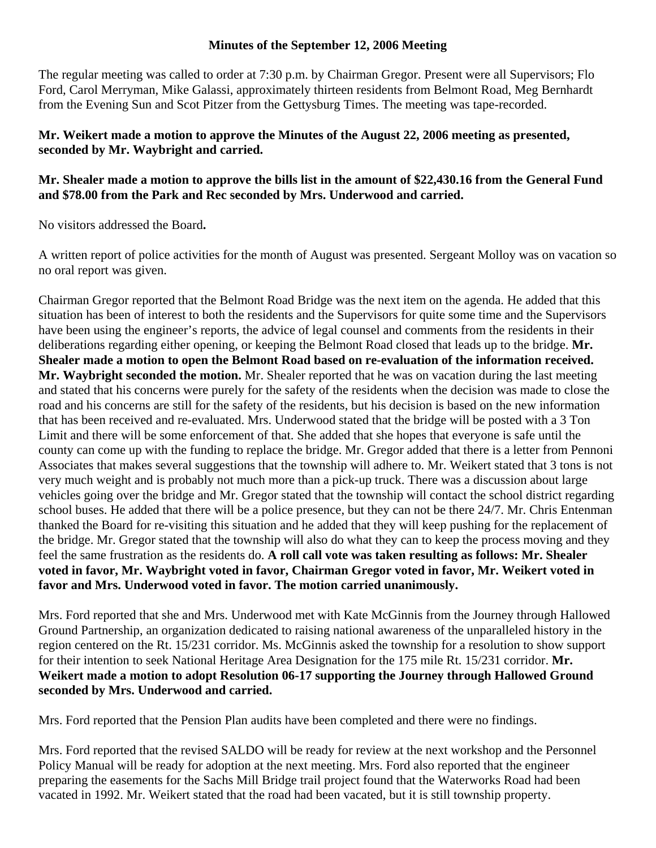## **Minutes of the September 12, 2006 Meeting**

The regular meeting was called to order at 7:30 p.m. by Chairman Gregor. Present were all Supervisors; Flo Ford, Carol Merryman, Mike Galassi, approximately thirteen residents from Belmont Road, Meg Bernhardt from the Evening Sun and Scot Pitzer from the Gettysburg Times. The meeting was tape-recorded.

## **Mr. Weikert made a motion to approve the Minutes of the August 22, 2006 meeting as presented, seconded by Mr. Waybright and carried.**

## **Mr. Shealer made a motion to approve the bills list in the amount of \$22,430.16 from the General Fund and \$78.00 from the Park and Rec seconded by Mrs. Underwood and carried.**

No visitors addressed the Board**.** 

A written report of police activities for the month of August was presented. Sergeant Molloy was on vacation so no oral report was given.

Chairman Gregor reported that the Belmont Road Bridge was the next item on the agenda. He added that this situation has been of interest to both the residents and the Supervisors for quite some time and the Supervisors have been using the engineer's reports, the advice of legal counsel and comments from the residents in their deliberations regarding either opening, or keeping the Belmont Road closed that leads up to the bridge. **Mr. Shealer made a motion to open the Belmont Road based on re-evaluation of the information received. Mr. Waybright seconded the motion.** Mr. Shealer reported that he was on vacation during the last meeting and stated that his concerns were purely for the safety of the residents when the decision was made to close the road and his concerns are still for the safety of the residents, but his decision is based on the new information that has been received and re-evaluated. Mrs. Underwood stated that the bridge will be posted with a 3 Ton Limit and there will be some enforcement of that. She added that she hopes that everyone is safe until the county can come up with the funding to replace the bridge. Mr. Gregor added that there is a letter from Pennoni Associates that makes several suggestions that the township will adhere to. Mr. Weikert stated that 3 tons is not very much weight and is probably not much more than a pick-up truck. There was a discussion about large vehicles going over the bridge and Mr. Gregor stated that the township will contact the school district regarding school buses. He added that there will be a police presence, but they can not be there 24/7. Mr. Chris Entenman thanked the Board for re-visiting this situation and he added that they will keep pushing for the replacement of the bridge. Mr. Gregor stated that the township will also do what they can to keep the process moving and they feel the same frustration as the residents do. **A roll call vote was taken resulting as follows: Mr. Shealer voted in favor, Mr. Waybright voted in favor, Chairman Gregor voted in favor, Mr. Weikert voted in favor and Mrs. Underwood voted in favor. The motion carried unanimously.** 

Mrs. Ford reported that she and Mrs. Underwood met with Kate McGinnis from the Journey through Hallowed Ground Partnership, an organization dedicated to raising national awareness of the unparalleled history in the region centered on the Rt. 15/231 corridor. Ms. McGinnis asked the township for a resolution to show support for their intention to seek National Heritage Area Designation for the 175 mile Rt. 15/231 corridor. **Mr. Weikert made a motion to adopt Resolution 06-17 supporting the Journey through Hallowed Ground seconded by Mrs. Underwood and carried.** 

Mrs. Ford reported that the Pension Plan audits have been completed and there were no findings.

Mrs. Ford reported that the revised SALDO will be ready for review at the next workshop and the Personnel Policy Manual will be ready for adoption at the next meeting. Mrs. Ford also reported that the engineer preparing the easements for the Sachs Mill Bridge trail project found that the Waterworks Road had been vacated in 1992. Mr. Weikert stated that the road had been vacated, but it is still township property.